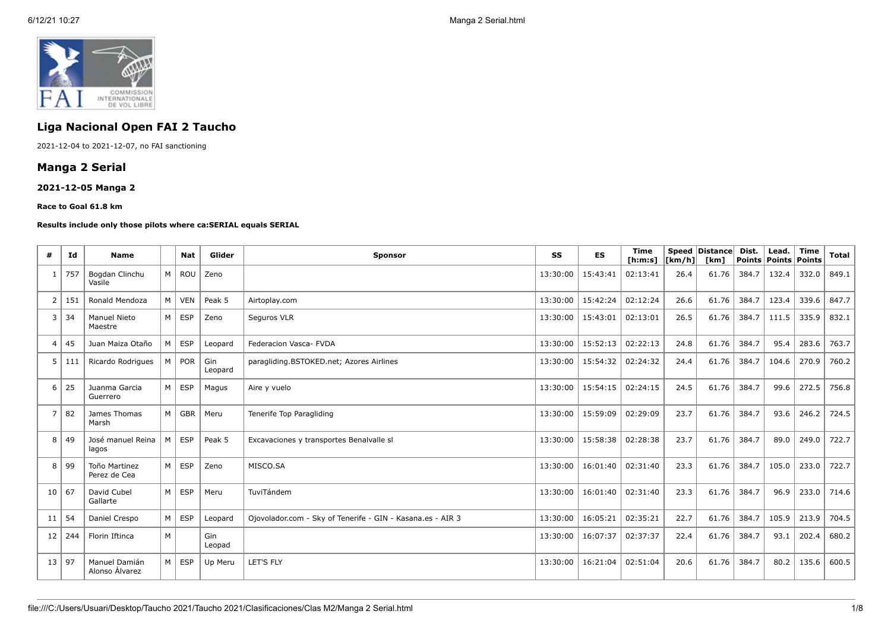

# **Liga Nacional Open FAI 2 Taucho**

2021-12-04 to 2021-12-07, no FAI sanctioning

## **Manga 2 Serial**

## **2021-12-05 Manga 2**

#### **Race to Goal 61.8 km**

#### **Results include only those pilots where ca:SERIAL equals SERIAL**

| #                       | Id  | Name                            |                | <b>Nat</b>    | Glider         | <b>Sponsor</b>                                             | SS       | <b>ES</b>         | <b>Time</b><br>[ <b>h</b> : <b>m</b> : <b>s</b> ] | [km/h] | Speed Distance<br>[km] | Dist.<br>Points   Points   Points | Lead. | Time  | <b>Total</b> |
|-------------------------|-----|---------------------------------|----------------|---------------|----------------|------------------------------------------------------------|----------|-------------------|---------------------------------------------------|--------|------------------------|-----------------------------------|-------|-------|--------------|
| -1                      | 757 | Bogdan Clinchu<br>Vasile        | M <sub>1</sub> | ROU           | Zeno           |                                                            | 13:30:00 | 15:43:41          | 02:13:41                                          | 26.4   | 61.76                  | 384.7                             | 132.4 | 332.0 | 849.1        |
| $\overline{2}$          | 151 | Ronald Mendoza                  | M <sub>1</sub> | <b>VEN</b>    | Peak 5         | Airtoplay.com                                              | 13:30:00 | 15:42:24          | 02:12:24                                          | 26.6   | 61.76                  | 384.7                             | 123.4 | 339.6 | 847.7        |
| 3                       | 34  | <b>Manuel Nieto</b><br>Maestre  |                | M ESP         | Zeno           | Seguros VLR                                                | 13:30:00 | 15:43:01          | 02:13:01                                          | 26.5   | 61.76                  | 384.7                             | 111.5 | 335.9 | 832.1        |
| $\overline{\mathbf{4}}$ | 45  | Juan Maiza Otaño                | M              | <b>ESP</b>    | Leopard        | Federacion Vasca- FVDA                                     | 13:30:00 | 15:52:13          | 02:22:13                                          | 24.8   | 61.76                  | 384.7                             | 95.4  | 283.6 | 763.7        |
| 5                       | 111 | Ricardo Rodrigues               |                | $M \vert POR$ | Gin<br>Leopard | paragliding.BSTOKED.net; Azores Airlines                   | 13:30:00 | 15:54:32 02:24:32 |                                                   | 24.4   | 61.76                  | 384.7                             | 104.6 | 270.9 | 760.2        |
| 6                       | 25  | Juanma Garcia<br>Guerrero       | M <sub>1</sub> | <b>ESP</b>    | Magus          | Aire y vuelo                                               | 13:30:00 | 15:54:15 02:24:15 |                                                   | 24.5   | 61.76                  | 384.7                             | 99.6  | 272.5 | 756.8        |
| $\overline{7}$          | 82  | James Thomas<br>Marsh           | M              | GBR           | Meru           | Tenerife Top Paragliding                                   | 13:30:00 | 15:59:09          | 02:29:09                                          | 23.7   | 61.76                  | 384.7                             | 93.6  | 246.2 | 724.5        |
| 8                       | 49  | José manuel Reina<br>lagos      | M              | <b>ESP</b>    | Peak 5         | Excavaciones y transportes Benalvalle sl                   | 13:30:00 | 15:58:38          | 02:28:38                                          | 23.7   | 61.76                  | 384.7                             | 89.0  | 249.0 | 722.7        |
| 8                       | 99  | Toño Martinez<br>Perez de Cea   |                | $M \vert$ ESP | Zeno           | MISCO.SA                                                   | 13:30:00 | 16:01:40 02:31:40 |                                                   | 23.3   | 61.76                  | 384.7                             | 105.0 | 233.0 | 722.7        |
| 10                      | 67  | David Cubel<br>Gallarte         |                | $M \vert$ ESP | Meru           | TuviTándem                                                 | 13:30:00 | 16:01:40 02:31:40 |                                                   | 23.3   | 61.76                  | 384.7                             | 96.9  | 233.0 | 714.6        |
| 11                      | 54  | Daniel Crespo                   | M I            | <b>ESP</b>    | Leopard        | Ojovolador.com - Sky of Tenerife - GIN - Kasana.es - AIR 3 | 13:30:00 | 16:05:21          | 02:35:21                                          | 22.7   | 61.76                  | 384.7                             | 105.9 | 213.9 | 704.5        |
| 12                      | 244 | Florin Iftinca                  | M              |               | Gin<br>Leopad  |                                                            | 13:30:00 | 16:07:37          | 02:37:37                                          | 22.4   | 61.76                  | 384.7                             | 93.1  | 202.4 | 680.2        |
| 13                      | 97  | Manuel Damián<br>Alonso Álvarez | M <sub>1</sub> | ESP           | Up Meru        | <b>LET'S FLY</b>                                           | 13:30:00 | 16:21:04          | 02:51:04                                          | 20.6   | 61.76                  | 384.7                             | 80.2  | 135.6 | 600.5        |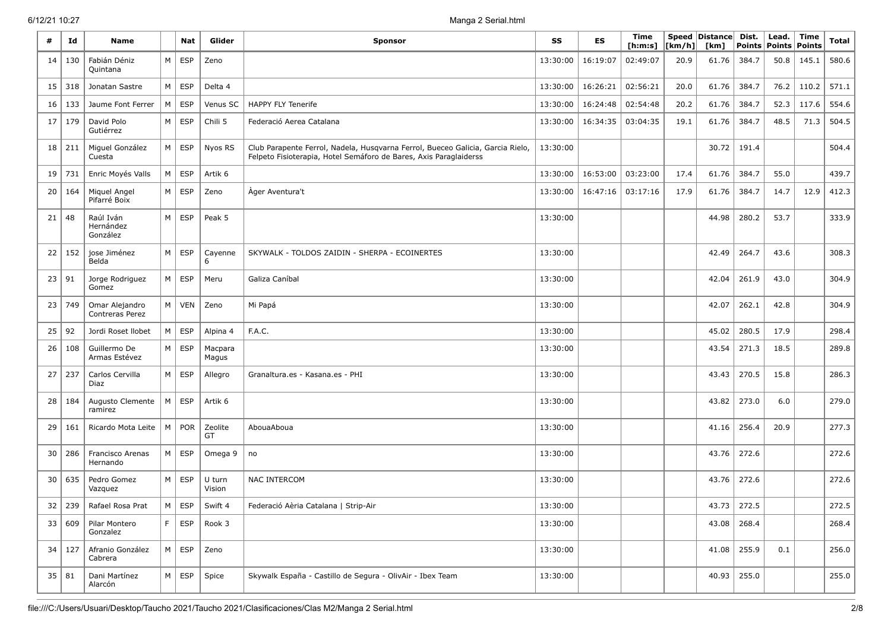| #  | Id       | <b>Name</b>                        |          | Nat           | Glider                         | <b>Sponsor</b>                                                                                                                                      | SS       | ES       | Time<br>[ h: m: s] | $\lfloor \lfloor km/h \rfloor \rfloor$ | Speed Distance Dist.<br>[km] | <b>Points</b>   | Lead.<br><b>Points</b> | <b>Time</b><br><b>Points</b> | <b>Total</b> |
|----|----------|------------------------------------|----------|---------------|--------------------------------|-----------------------------------------------------------------------------------------------------------------------------------------------------|----------|----------|--------------------|----------------------------------------|------------------------------|-----------------|------------------------|------------------------------|--------------|
| 14 | 130      | Fabián Déniz<br>Quintana           | M        | ESP           | Zeno                           |                                                                                                                                                     | 13:30:00 | 16:19:07 | 02:49:07           | 20.9                                   | 61.76                        | 384.7           | 50.8                   | 145.1                        | 580.6        |
| 15 | 318      | Jonatan Sastre                     | M        | ESP           | Delta 4                        | 13:30:00                                                                                                                                            |          | 16:26:21 | 02:56:21           | 20.0                                   | 61.76                        | 384.7           | 76.2                   | 110.2                        | 571.1        |
| 16 | 133      | Jaume Font Ferrer                  | M        | <b>ESP</b>    | Venus SC                       | <b>HAPPY FLY Tenerife</b>                                                                                                                           | 13:30:00 | 16:24:48 | 02:54:48           | 20.2                                   | 61.76                        | 384.7           | 52.3                   | 117.6                        | 554.6        |
| 17 | 179      | David Polo<br>Gutiérrez            | M        | ESP           | Chili 5                        | Federació Aerea Catalana                                                                                                                            | 13:30:00 | 16:34:35 | 03:04:35           | 19.1                                   | 61.76                        | 384.7           | 48.5                   | 71.3                         | 504.5        |
| 18 | 211      | Miguel González<br>Cuesta          | M        | ESP           | Nyos RS                        | Club Parapente Ferrol, Nadela, Husqvarna Ferrol, Bueceo Galicia, Garcia Rielo,<br>Felpeto Fisioterapia, Hotel Semáforo de Bares, Axis Paraglaiderss | 13:30:00 |          |                    |                                        | 30.72                        | 191.4           |                        |                              | 504.4        |
| 19 | 731      | Enric Moyés Valls                  | $M \mid$ | ESP           | Artik 6                        |                                                                                                                                                     | 13:30:00 | 16:53:00 | 03:23:00           | 17.4                                   | 61.76                        | 384.7           | 55.0                   |                              | 439.7        |
| 20 | 164      | Miquel Angel<br>Pifarré Boix       | M        | ESP           | Zeno                           | Ager Aventura't                                                                                                                                     | 13:30:00 | 16:47:16 | 03:17:16           | 17.9                                   | 61.76                        | 384.7           | 14.7                   | 12.9                         | 412.3        |
| 21 | 48       | Raúl Iván<br>Hernández<br>González | M        | ESP           | Peak 5                         |                                                                                                                                                     | 13:30:00 |          |                    |                                        | 44.98                        | 280.2           | 53.7                   |                              | 333.9        |
| 22 | 152      | jose Jiménez<br>Belda              | M        | ESP           | Cayenne<br>6                   | SKYWALK - TOLDOS ZAIDIN - SHERPA - ECOINERTES                                                                                                       | 13:30:00 |          |                    |                                        | 42.49                        | 264.7           | 43.6                   |                              | 308.3        |
| 23 | 91       | Jorge Rodriguez<br>Gomez           | M        | ESP           | Meru                           | Galiza Caníbal                                                                                                                                      | 13:30:00 |          |                    |                                        | 42.04                        | 261.9           | 43.0                   |                              | 304.9        |
| 23 | 749      | Omar Alejandro<br>Contreras Perez  | M        | <b>VEN</b>    | Zeno                           | Mi Papá                                                                                                                                             | 13:30:00 |          |                    |                                        | 42.07                        | 262.1           | 42.8                   |                              | 304.9        |
| 25 | 92       | Jordi Roset Ilobet                 | M        | ESP           | Alpina 4                       | F.A.C.                                                                                                                                              | 13:30:00 |          |                    |                                        | 45.02                        | 280.5           | 17.9                   |                              | 298.4        |
| 26 | 108      | Guillermo De<br>Armas Estévez      | M        | <b>ESP</b>    | Macpara<br>Magus               |                                                                                                                                                     | 13:30:00 |          |                    |                                        | 43.54                        | 271.3           | 18.5                   |                              | 289.8        |
| 27 | 237      | Carlos Cervilla<br>Diaz            | M        | ESP           | Allegro                        | Granaltura.es - Kasana.es - PHI                                                                                                                     | 13:30:00 |          |                    |                                        | 43.43                        | 270.5           | 15.8                   |                              | 286.3        |
| 28 | 184      | Augusto Clemente<br>ramirez        | M        | ESP           | Artik 6                        |                                                                                                                                                     | 13:30:00 |          |                    |                                        | 43.82                        | 273.0           | 6.0                    |                              | 279.0        |
| 29 | 161      | Ricardo Mota Leite                 | M        | <b>POR</b>    | Zeolite<br>GT                  | AbouaAboua                                                                                                                                          | 13:30:00 |          |                    |                                        | 41.16                        | 256.4           | 20.9                   |                              | 277.3        |
| 30 | 286      | Francisco Arenas<br>Hernando       |          | $M \vert$ ESP | Omega 9                        | no                                                                                                                                                  | 13:30:00 |          |                    |                                        | 43.76                        | 272.6           |                        |                              | 272.6        |
| 30 | 635      | Pedro Gomez<br>Vazquez             |          | $M \vert$ ESP | U turn<br>Vision               | <b>NAC INTERCOM</b>                                                                                                                                 | 13:30:00 |          |                    |                                        | 43.76                        | 272.6           |                        |                              | 272.6        |
|    |          | 32   239   Rafael Rosa Prat        |          |               | $M \, \mathsf{ESP} \,$ Swift 4 | Federació Aèria Catalana   Strip-Air                                                                                                                | 13:30:00 |          |                    |                                        |                              | 43.73 272.5     |                        |                              | 272.5        |
|    | 33   609 | Pilar Montero<br>Gonzalez          |          |               | $F$ ESP Rook 3                 |                                                                                                                                                     | 13:30:00 |          |                    |                                        |                              | $43.08$   268.4 |                        |                              | 268.4        |
|    | 34 127   | Afranio González<br>Cabrera        |          | $M \vert$ ESP | Zeno                           |                                                                                                                                                     | 13:30:00 |          |                    |                                        |                              | $41.08$ 255.9   | 0.1                    |                              | 256.0        |
|    | 35   81  | Dani Martínez<br>Alarcón           |          |               | $M \, \vert$ ESP $\vert$ Spice | Skywalk España - Castillo de Segura - OlivAir - Ibex Team                                                                                           | 13:30:00 |          |                    |                                        |                              | $40.93$   255.0 |                        |                              | 255.0        |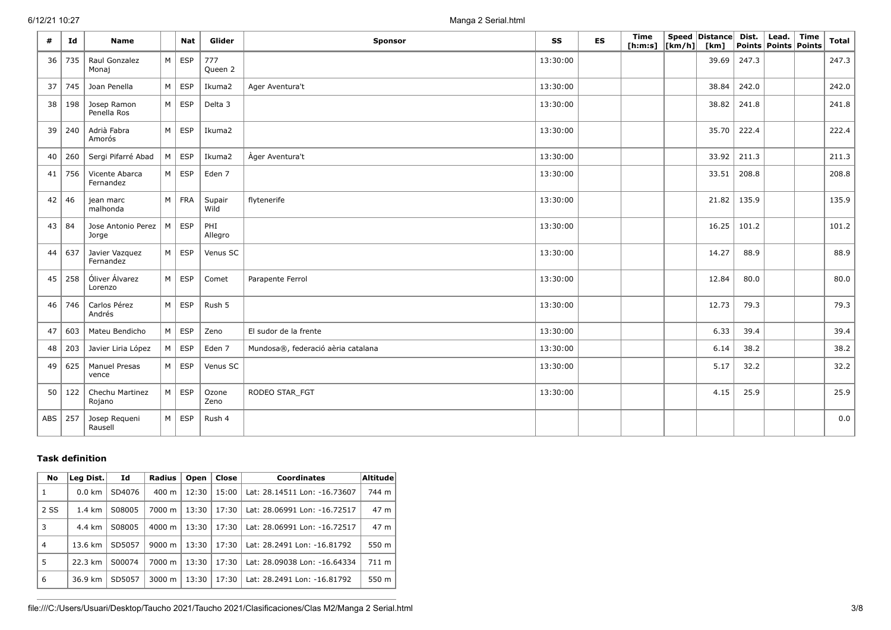.

| #   | Id  | <b>Name</b>                   |                | <b>Nat</b>    | Glider         | <b>Sponsor</b>                     | SS       | <b>ES</b> | Time<br>[h:m:s] $\vert$ [km/h] $\vert$ | Speed   Distance   Dist.<br>[km] |       | Lead.<br>Points   Points   Points | Time | <b>Total</b> |
|-----|-----|-------------------------------|----------------|---------------|----------------|------------------------------------|----------|-----------|----------------------------------------|----------------------------------|-------|-----------------------------------|------|--------------|
| 36  | 735 | Raul Gonzalez<br>Monaj        | M              | ESP           | 777<br>Queen 2 |                                    | 13:30:00 |           |                                        | 39.69                            | 247.3 |                                   |      | 247.3        |
| 37  | 745 | Joan Penella                  | M              | ESP           | Ikuma2         | Ager Aventura't                    | 13:30:00 |           |                                        | 38.84                            | 242.0 |                                   |      | 242.0        |
| 38  | 198 | Josep Ramon<br>Penella Ros    |                | $M \vert$ ESP | Delta 3        |                                    | 13:30:00 |           |                                        | 38.82                            | 241.8 |                                   |      | 241.8        |
| 39  | 240 | Adrià Fabra<br>Amorós         | M <sub>1</sub> | ESP           | Ikuma2         |                                    | 13:30:00 |           |                                        | 35.70                            | 222.4 |                                   |      | 222.4        |
| 40  | 260 | Sergi Pifarré Abad            |                | $M \vert$ ESP | Ikuma2         | Ager Aventura't                    | 13:30:00 |           |                                        | 33.92                            | 211.3 |                                   |      | 211.3        |
| 41  | 756 | Vicente Abarca<br>Fernandez   |                | $M \vert$ ESP | Eden 7         |                                    | 13:30:00 |           |                                        | 33.51                            | 208.8 |                                   |      | 208.8        |
| 42  | 46  | jean marc<br>malhonda         |                | $M$ FRA       | Supair<br>Wild | flytenerife                        | 13:30:00 |           |                                        | 21.82                            | 135.9 |                                   |      | 135.9        |
| 43  | 84  | Jose Antonio Perez<br>Jorge   | M              | ESP           | PHI<br>Allegro |                                    | 13:30:00 |           |                                        | 16.25                            | 101.2 |                                   |      | 101.2        |
| 44  | 637 | Javier Vazquez<br>Fernandez   |                | $M \vert$ ESP | Venus SC       |                                    | 13:30:00 |           |                                        | 14.27                            | 88.9  |                                   |      | 88.9         |
| 45  | 258 | Óliver Álvarez<br>Lorenzo     |                | $M \vert$ ESP | Comet          | Parapente Ferrol                   | 13:30:00 |           |                                        | 12.84                            | 80.0  |                                   |      | 80.0         |
| 46  | 746 | Carlos Pérez<br>Andrés        |                | $M \vert$ ESP | Rush 5         |                                    | 13:30:00 |           |                                        | 12.73                            | 79.3  |                                   |      | 79.3         |
| 47  | 603 | Mateu Bendicho                | M              | $\vert$ ESP   | Zeno           | El sudor de la frente              | 13:30:00 |           |                                        | 6.33                             | 39.4  |                                   |      | 39.4         |
| 48  | 203 | Javier Liria López            |                | $M \vert$ ESP | Eden 7         | Mundosa®, federació aèria catalana | 13:30:00 |           |                                        | 6.14                             | 38.2  |                                   |      | 38.2         |
| 49  | 625 | <b>Manuel Presas</b><br>vence |                | $M \vert$ ESP | Venus SC       |                                    | 13:30:00 |           |                                        | 5.17                             | 32.2  |                                   |      | 32.2         |
| 50  | 122 | Chechu Martinez<br>Rojano     |                | $M \vert$ ESP | Ozone<br>Zeno  | RODEO STAR FGT                     | 13:30:00 |           |                                        | 4.15                             | 25.9  |                                   |      | 25.9         |
| ABS | 257 | Josep Requeni<br>Rausell      |                | $M \vert$ ESP | Rush 4         |                                    |          |           |                                        |                                  |       |                                   |      | 0.0          |

## **Task definition**

| No             | Leg Dist.        | Id     | Radius             | Open  | Close | <b>Coordinates</b>           | $\mathsf{Altitude}$ |
|----------------|------------------|--------|--------------------|-------|-------|------------------------------|---------------------|
| 1              | $0.0 \text{ km}$ | SD4076 | $400 \text{ m}$    | 12:30 | 15:00 | Lat: 28.14511 Lon: -16.73607 | 744 m               |
| 2 SS           | $1.4 \text{ km}$ | S08005 | 7000 m             | 13:30 | 17:30 | Lat: 28.06991 Lon: -16.72517 | 47 m                |
| 3              | 4.4 km           | S08005 | $4000 \; \text{m}$ | 13:30 | 17:30 | Lat: 28.06991 Lon: -16.72517 | 47 m                |
| $\overline{4}$ | 13.6 km          | SD5057 | $9000 \; \text{m}$ | 13:30 | 17:30 | Lat: 28.2491 Lon: -16.81792  | 550 m               |
| 5              | 22.3 km          | S00074 | 7000 m             | 13:30 | 17:30 | Lat: 28.09038 Lon: -16.64334 | $711 \text{ m}$     |
| 6              | 36.9 km          | SD5057 | $3000 \; \text{m}$ | 13:30 | 17:30 | Lat: 28.2491 Lon: -16.81792  | 550 m               |

file:///C:/Users/Usuari/Desktop/Taucho 2021/Taucho 2021/Clasificaciones/Clas M2/Manga 2 Serial.html 3/8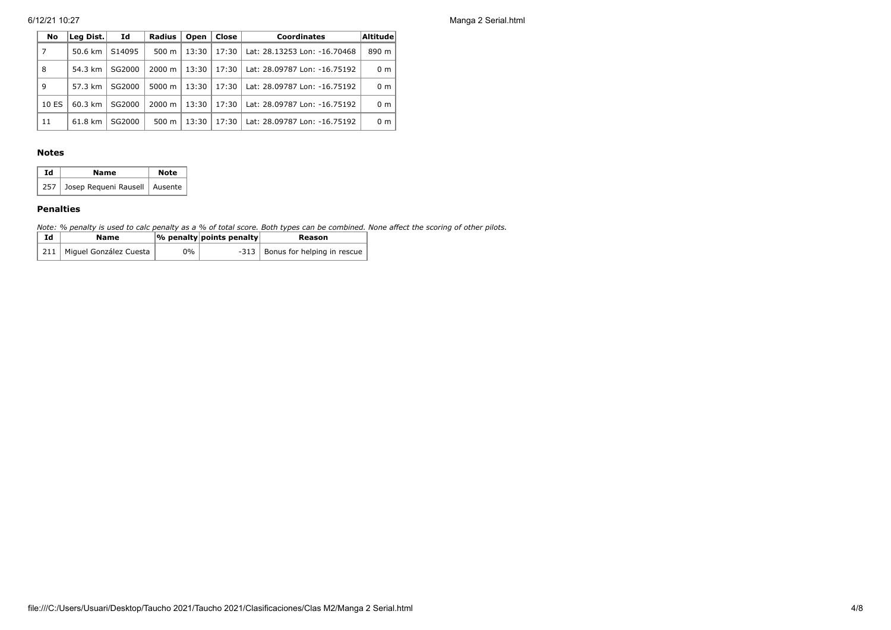6/12/21 10:27 Manga 2 Serial.html

| No    | Leg Dist. | Id                 | <b>Radius</b>   | Open  | Close | <b>Coordinates</b>           | Altitude       |
|-------|-----------|--------------------|-----------------|-------|-------|------------------------------|----------------|
| 7     | 50.6 km   | S <sub>14095</sub> | 500 m           | 13:30 | 17:30 | Lat: 28.13253 Lon: -16.70468 | 890 m          |
| 8     | 54.3 km   | SG2000             | 2000 m          | 13:30 | 17:30 | Lat: 28.09787 Lon: -16.75192 | 0 <sub>m</sub> |
| 9     | 57.3 km   | SG2000             | $5000 \; m$     | 13:30 | 17:30 | Lat: 28.09787 Lon: -16.75192 | 0 <sub>m</sub> |
| 10 ES | 60.3 km   | SG2000             | $2000 \; m$     | 13:30 | 17:30 | Lat: 28.09787 Lon: -16.75192 | 0 <sub>m</sub> |
| 11    | 61.8 km   | SG2000             | $500 \text{ m}$ | 13:30 | 17:30 | Lat: 28.09787 Lon: -16.75192 | 0 <sub>m</sub> |

#### **Notes**

| Ιd | Name                                | <b>Note</b> |
|----|-------------------------------------|-------------|
|    | 257 Josep Requeni Rausell   Ausente |             |

#### **Penalties**

*Note: % penalty is used to calc penalty as a % of total score. Both types can be combined. None affect the scoring of other pilots.*

| Ιd | Name                         |    | $ \%$ penalty points penalty | Reason                             |
|----|------------------------------|----|------------------------------|------------------------------------|
|    | 211   Miguel González Cuesta | 0% |                              | -313   Bonus for helping in rescue |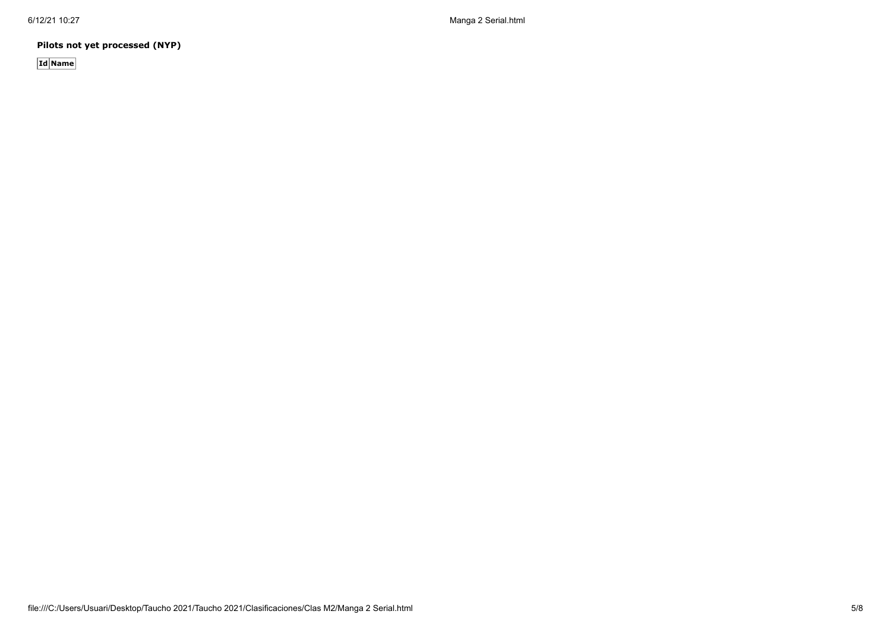6/12/21 10:27 Manga 2 Serial.html

**Pilots not yet processed (NYP)**

**Id Name**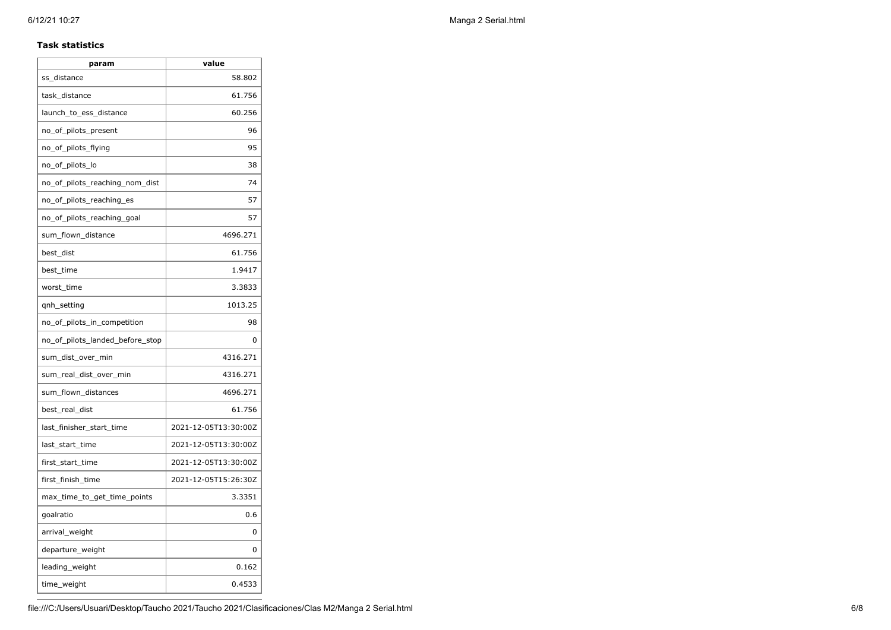### **Task statistics**

| param                           | value                |
|---------------------------------|----------------------|
| ss_distance                     | 58.802               |
| task distance                   | 61.756               |
| launch_to_ess_distance          | 60.256               |
| no_of_pilots_present            | 96                   |
| no_of_pilots_flying             | 95                   |
| no_of_pilots_lo                 | 38                   |
| no_of_pilots_reaching_nom_dist  | 74                   |
| no_of_pilots_reaching_es        | 57                   |
| no of pilots reaching goal      | 57                   |
| sum_flown_distance              | 4696.271             |
| best_dist                       | 61.756               |
| best_time                       | 1.9417               |
| worst_time                      | 3.3833               |
| qnh_setting                     | 1013.25              |
| no_of_pilots_in_competition     | 98                   |
| no_of_pilots_landed_before_stop | 0                    |
| sum_dist_over_min               | 4316.271             |
| sum_real_dist_over_min          | 4316.271             |
| sum flown distances             | 4696.271             |
| best_real_dist                  | 61.756               |
| last_finisher_start_time        | 2021-12-05T13:30:00Z |
| last_start_time                 | 2021-12-05T13:30:00Z |
| first_start_time                | 2021-12-05T13:30:00Z |
| first finish time               | 2021-12-05T15:26:30Z |
| max_time_to_get_time_points     | 3.3351               |
| goalratio                       | 0.6                  |
| arrival_weight                  | 0                    |
| departure_weight                | 0                    |
| leading_weight                  | 0.162                |
| time_weight                     | 0.4533               |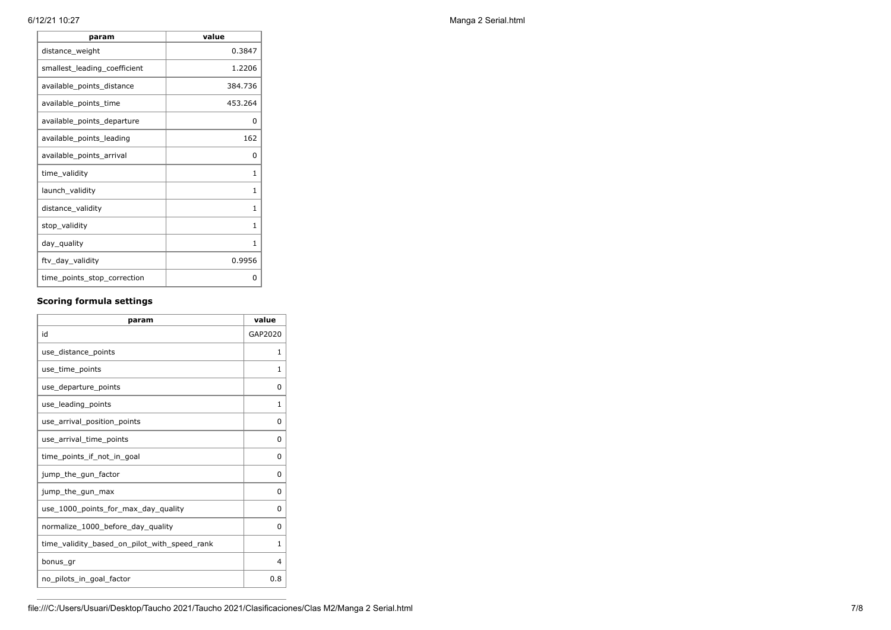| param                        | value   |
|------------------------------|---------|
| distance_weight              | 0.3847  |
| smallest_leading_coefficient | 1.2206  |
| available_points_distance    | 384.736 |
| available_points_time        | 453.264 |
| available_points_departure   | 0       |
| available_points_leading     | 162     |
| available_points_arrival     | 0       |
| time_validity                | 1       |
| launch_validity              | 1       |
| distance_validity            | 1       |
| stop_validity                | 1       |
| day_quality                  | 1       |
| ftv_day_validity             | 0.9956  |
| time_points_stop_correction  | 0       |

## **Scoring formula settings**

| param                                        | value        |
|----------------------------------------------|--------------|
| id                                           | GAP2020      |
| use distance points                          | 1            |
| use_time_points                              | 1            |
| use_departure_points                         | 0            |
| use_leading_points                           | 1            |
| use_arrival_position_points                  | 0            |
| use_arrival_time_points                      | 0            |
| time_points_if_not_in_goal                   | 0            |
| jump_the_gun_factor                          | 0            |
| jump_the_gun_max                             | 0            |
| use_1000_points_for_max_day_quality          | $\Omega$     |
| normalize 1000 before day quality            | 0            |
| time_validity_based_on_pilot_with_speed_rank | $\mathbf{1}$ |
| bonus gr                                     | 4            |
| no pilots in goal factor                     | 0.8          |